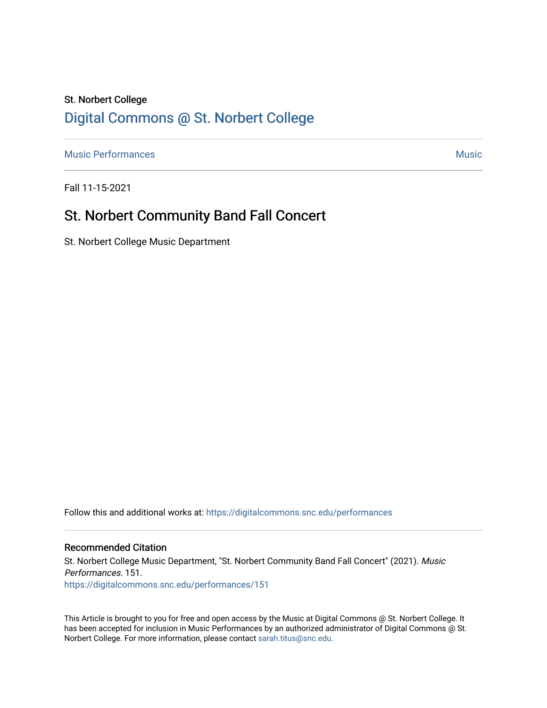## St. Norbert College [Digital Commons @ St. Norbert College](https://digitalcommons.snc.edu/)

[Music Performances](https://digitalcommons.snc.edu/performances) **Music** [Music](https://digitalcommons.snc.edu/music) **Music Music** 

Fall 11-15-2021

## St. Norbert Community Band Fall Concert

St. Norbert College Music Department

Follow this and additional works at: [https://digitalcommons.snc.edu/performances](https://digitalcommons.snc.edu/performances?utm_source=digitalcommons.snc.edu%2Fperformances%2F151&utm_medium=PDF&utm_campaign=PDFCoverPages)

#### Recommended Citation

St. Norbert College Music Department, "St. Norbert Community Band Fall Concert" (2021). Music Performances. 151. [https://digitalcommons.snc.edu/performances/151](https://digitalcommons.snc.edu/performances/151?utm_source=digitalcommons.snc.edu%2Fperformances%2F151&utm_medium=PDF&utm_campaign=PDFCoverPages) 

This Article is brought to you for free and open access by the Music at Digital Commons @ St. Norbert College. It has been accepted for inclusion in Music Performances by an authorized administrator of Digital Commons @ St. Norbert College. For more information, please contact [sarah.titus@snc.edu](mailto:sarah.titus@snc.edu).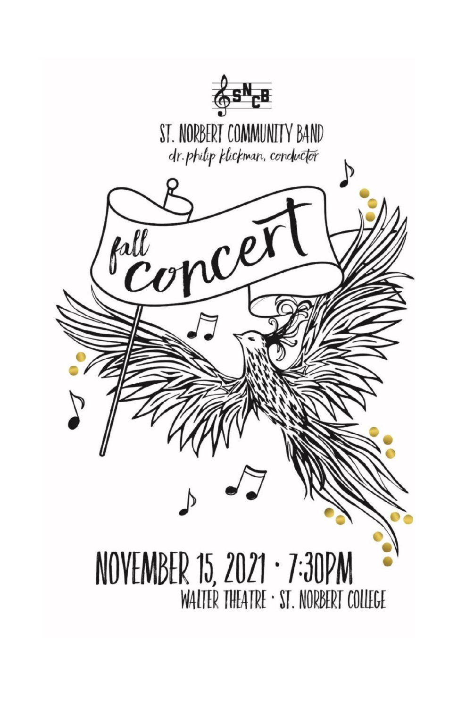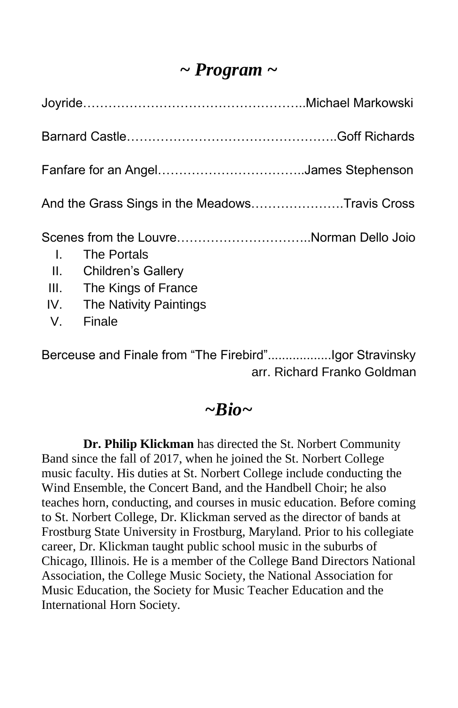## *~ Program ~*

| Fanfare for an AngelJames Stephenson           |                                                                                                                                                                |  |
|------------------------------------------------|----------------------------------------------------------------------------------------------------------------------------------------------------------------|--|
| And the Grass Sings in the MeadowsTravis Cross |                                                                                                                                                                |  |
| $\mathbf{L}$                                   | Scenes from the LouvreNorman Dello Joio<br><b>The Portals</b><br>II. Children's Gallery<br>III. The Kings of France<br>IV. The Nativity Paintings<br>V. Finale |  |

Berceuse and Finale from "The Firebird"..................Igor Stravinsky arr. Richard Franko Goldman

### *~Bio~*

 **Dr. Philip Klickman** has directed the St. Norbert Community Band since the fall of 2017, when he joined the St. Norbert College music faculty. His duties at St. Norbert College include conducting the Wind Ensemble, the Concert Band, and the Handbell Choir; he also teaches horn, conducting, and courses in music education. Before coming to St. Norbert College, Dr. Klickman served as the director of bands at Frostburg State University in Frostburg, Maryland. Prior to his collegiate career, Dr. Klickman taught public school music in the suburbs of Chicago, Illinois. He is a member of the College Band Directors National Association, the College Music Society, the National Association for Music Education, the Society for Music Teacher Education and the International Horn Society.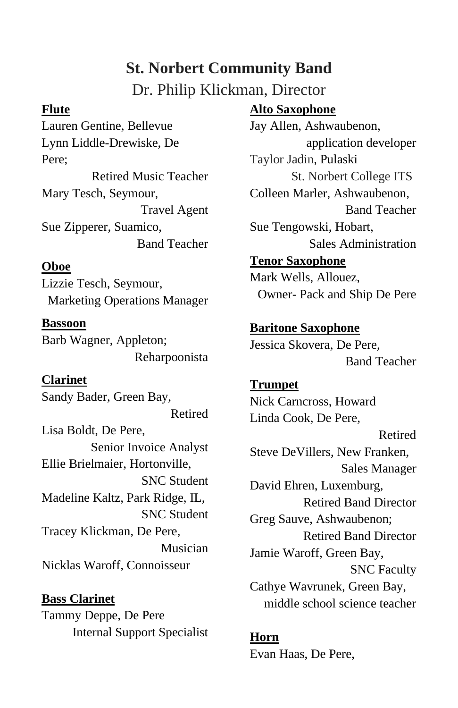# **St. Norbert Community Band**

Dr. Philip Klickman, Director

#### **Flute**

Lauren Gentine, Bellevue Lynn Liddle-Drewiske, De Pere; Retired Music Teacher Mary Tesch, Seymour, Travel Agent Sue Zipperer, Suamico, Band Teacher

### **Oboe**

Lizzie Tesch, Seymour, Marketing Operations Manager

**Bassoon** Barb Wagner, Appleton; Reharpoonista

### **Clarinet**

Sandy Bader, Green Bay, Retired Lisa Boldt, De Pere, Senior Invoice Analyst Ellie Brielmaier, Hortonville, SNC Student Madeline Kaltz, Park Ridge, IL, SNC Student Tracey Klickman, De Pere, Musician Nicklas Waroff, Connoisseur

**Bass Clarinet** Tammy Deppe, De Pere Internal Support Specialist

### **Alto Saxophone**

Jay Allen, Ashwaubenon, application developer Taylor Jadin, Pulaski St. Norbert College ITS Colleen Marler, Ashwaubenon, Band Teacher Sue Tengowski, Hobart, Sales Administration

## **Tenor Saxophone**

Mark Wells, Allouez, Owner- Pack and Ship De Pere

### **Baritone Saxophone**

Jessica Skovera, De Pere, Band Teacher

## **Trumpet**

Nick Carncross, Howard Linda Cook, De Pere, Retired Steve DeVillers, New Franken, Sales Manager David Ehren, Luxemburg, Retired Band Director Greg Sauve, Ashwaubenon; Retired Band Director Jamie Waroff, Green Bay, SNC Faculty Cathye Wavrunek, Green Bay, middle school science teacher

#### **Horn**

Evan Haas, De Pere,